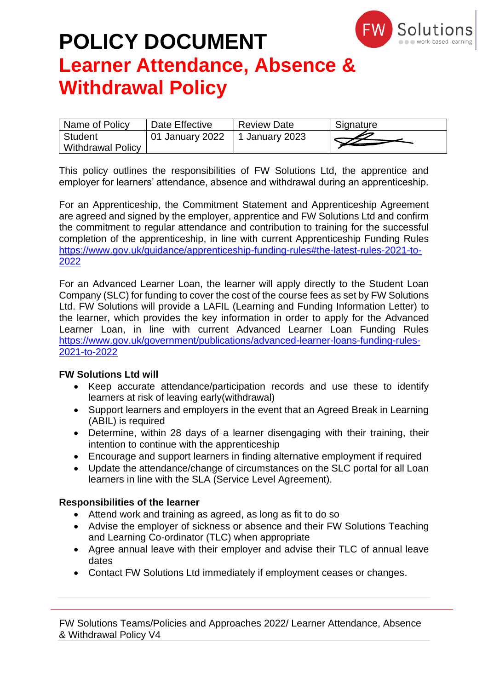

| Name of Policy           | Date Effective  | <b>Review Date</b> | Signature |
|--------------------------|-----------------|--------------------|-----------|
| Student                  | 01 January 2022 | 1 January 2023     |           |
| <b>Withdrawal Policy</b> |                 |                    |           |

This policy outlines the responsibilities of FW Solutions Ltd, the apprentice and employer for learners' attendance, absence and withdrawal during an apprenticeship.

For an Apprenticeship, the Commitment Statement and Apprenticeship Agreement are agreed and signed by the employer, apprentice and FW Solutions Ltd and confirm the commitment to regular attendance and contribution to training for the successful completion of the apprenticeship, in line with current Apprenticeship Funding Rules [https://www.gov.uk/guidance/apprenticeship-funding-rules#the-latest-rules-2021-to-](https://www.gov.uk/guidance/apprenticeship-funding-rules#the-latest-rules-2021-to-2022)[2022](https://www.gov.uk/guidance/apprenticeship-funding-rules#the-latest-rules-2021-to-2022)

For an Advanced Learner Loan, the learner will apply directly to the Student Loan Company (SLC) for funding to cover the cost of the course fees as set by FW Solutions Ltd. FW Solutions will provide a LAFIL (Learning and Funding Information Letter) to the learner, which provides the key information in order to apply for the Advanced Learner Loan, in line with current Advanced Learner Loan Funding Rules [https://www.gov.uk/government/publications/advanced-learner-loans-funding-rules-](https://www.gov.uk/government/publications/advanced-learner-loans-funding-rules-2021-to-2022)[2021-to-2022](https://www.gov.uk/government/publications/advanced-learner-loans-funding-rules-2021-to-2022)

### **FW Solutions Ltd will**

- Keep accurate attendance/participation records and use these to identify learners at risk of leaving early(withdrawal)
- Support learners and employers in the event that an Agreed Break in Learning (ABIL) is required
- Determine, within 28 days of a learner disengaging with their training, their intention to continue with the apprenticeship
- Encourage and support learners in finding alternative employment if required
- Update the attendance/change of circumstances on the SLC portal for all Loan learners in line with the SLA (Service Level Agreement).

### **Responsibilities of the learner**

- Attend work and training as agreed, as long as fit to do so
- Advise the employer of sickness or absence and their FW Solutions Teaching and Learning Co-ordinator (TLC) when appropriate
- Agree annual leave with their employer and advise their TLC of annual leave dates
- Contact FW Solutions Ltd immediately if employment ceases or changes.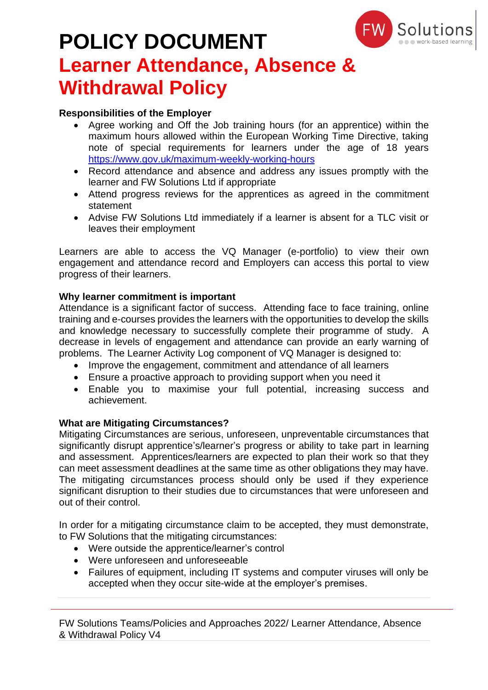

# **POLICY DOCUMENT**

# **Learner Attendance, Absence & Withdrawal Policy**

### **Responsibilities of the Employer**

- Agree working and Off the Job training hours (for an apprentice) within the maximum hours allowed within the European Working Time Directive, taking note of special requirements for learners under the age of 18 years <https://www.gov.uk/maximum-weekly-working-hours>
- Record attendance and absence and address any issues promptly with the learner and FW Solutions Ltd if appropriate
- Attend progress reviews for the apprentices as agreed in the commitment statement
- Advise FW Solutions Ltd immediately if a learner is absent for a TLC visit or leaves their employment

Learners are able to access the VQ Manager (e-portfolio) to view their own engagement and attendance record and Employers can access this portal to view progress of their learners.

### **Why learner commitment is important**

Attendance is a significant factor of success. Attending face to face training, online training and e-courses provides the learners with the opportunities to develop the skills and knowledge necessary to successfully complete their programme of study. A decrease in levels of engagement and attendance can provide an early warning of problems. The Learner Activity Log component of VQ Manager is designed to:

- Improve the engagement, commitment and attendance of all learners
- Ensure a proactive approach to providing support when you need it
- Enable you to maximise your full potential, increasing success and achievement.

### **What are Mitigating Circumstances?**

Mitigating Circumstances are serious, unforeseen, unpreventable circumstances that significantly disrupt apprentice's/learner's progress or ability to take part in learning and assessment. Apprentices/learners are expected to plan their work so that they can meet assessment deadlines at the same time as other obligations they may have. The mitigating circumstances process should only be used if they experience significant disruption to their studies due to circumstances that were unforeseen and out of their control.

In order for a mitigating circumstance claim to be accepted, they must demonstrate, to FW Solutions that the mitigating circumstances:

- Were outside the apprentice/learner's control
- Were unforeseen and unforeseeable
- Failures of equipment, including IT systems and computer viruses will only be accepted when they occur site-wide at the employer's premises.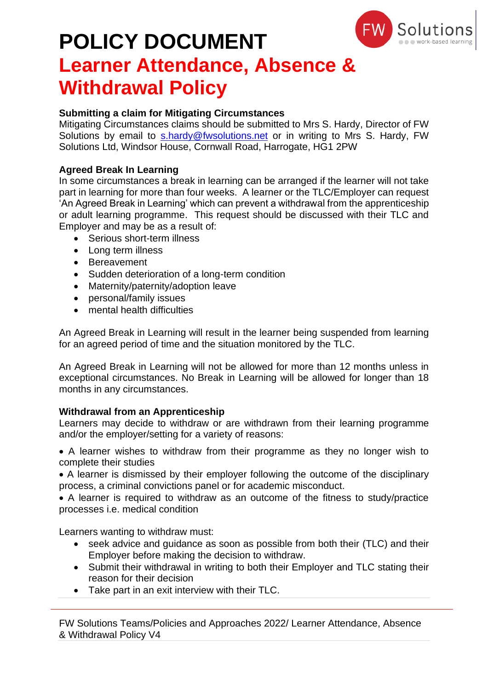

### **Submitting a claim for Mitigating Circumstances**

Mitigating Circumstances claims should be submitted to Mrs S. Hardy, Director of FW Solutions by email to [s.hardy@fwsolutions.net](mailto:s.hardy@fwsolutions.net) or in writing to Mrs S. Hardy, FW Solutions Ltd, Windsor House, Cornwall Road, Harrogate, HG1 2PW

### **Agreed Break In Learning**

In some circumstances a break in learning can be arranged if the learner will not take part in learning for more than four weeks. A learner or the TLC/Employer can request 'An Agreed Break in Learning' which can prevent a withdrawal from the apprenticeship or adult learning programme. This request should be discussed with their TLC and Employer and may be as a result of:

- Serious short-term illness
- Long term illness
- Bereavement
- Sudden deterioration of a long-term condition
- Maternity/paternity/adoption leave
- personal/family issues
- mental health difficulties

An Agreed Break in Learning will result in the learner being suspended from learning for an agreed period of time and the situation monitored by the TLC.

An Agreed Break in Learning will not be allowed for more than 12 months unless in exceptional circumstances. No Break in Learning will be allowed for longer than 18 months in any circumstances.

### **Withdrawal from an Apprenticeship**

Learners may decide to withdraw or are withdrawn from their learning programme and/or the employer/setting for a variety of reasons:

• A learner wishes to withdraw from their programme as they no longer wish to complete their studies

• A learner is dismissed by their employer following the outcome of the disciplinary process, a criminal convictions panel or for academic misconduct.

• A learner is required to withdraw as an outcome of the fitness to study/practice processes i.e. medical condition

Learners wanting to withdraw must:

- seek advice and guidance as soon as possible from both their (TLC) and their Employer before making the decision to withdraw.
- Submit their withdrawal in writing to both their Employer and TLC stating their reason for their decision
- Take part in an exit interview with their TLC.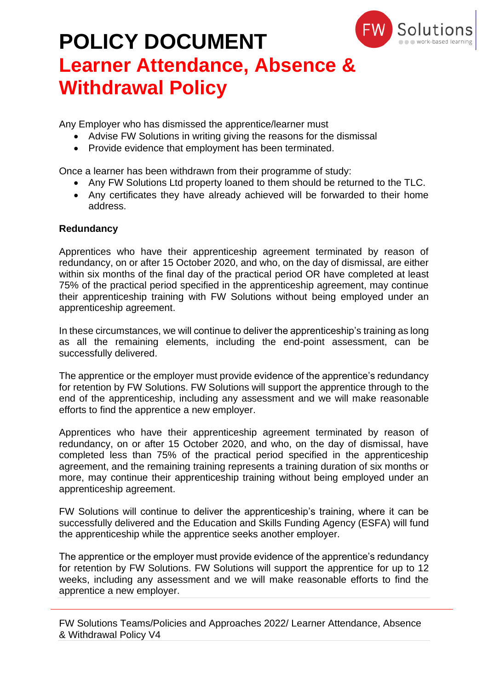

Any Employer who has dismissed the apprentice/learner must

- Advise FW Solutions in writing giving the reasons for the dismissal
- Provide evidence that employment has been terminated.

Once a learner has been withdrawn from their programme of study:

- Any FW Solutions Ltd property loaned to them should be returned to the TLC.
- Any certificates they have already achieved will be forwarded to their home address.

### **Redundancy**

Apprentices who have their apprenticeship agreement terminated by reason of redundancy, on or after 15 October 2020, and who, on the day of dismissal, are either within six months of the final day of the practical period OR have completed at least 75% of the practical period specified in the apprenticeship agreement, may continue their apprenticeship training with FW Solutions without being employed under an apprenticeship agreement.

In these circumstances, we will continue to deliver the apprenticeship's training as long as all the remaining elements, including the end-point assessment, can be successfully delivered.

The apprentice or the employer must provide evidence of the apprentice's redundancy for retention by FW Solutions. FW Solutions will support the apprentice through to the end of the apprenticeship, including any assessment and we will make reasonable efforts to find the apprentice a new employer.

Apprentices who have their apprenticeship agreement terminated by reason of redundancy, on or after 15 October 2020, and who, on the day of dismissal, have completed less than 75% of the practical period specified in the apprenticeship agreement, and the remaining training represents a training duration of six months or more, may continue their apprenticeship training without being employed under an apprenticeship agreement.

FW Solutions will continue to deliver the apprenticeship's training, where it can be successfully delivered and the Education and Skills Funding Agency (ESFA) will fund the apprenticeship while the apprentice seeks another employer.

The apprentice or the employer must provide evidence of the apprentice's redundancy for retention by FW Solutions. FW Solutions will support the apprentice for up to 12 weeks, including any assessment and we will make reasonable efforts to find the apprentice a new employer.